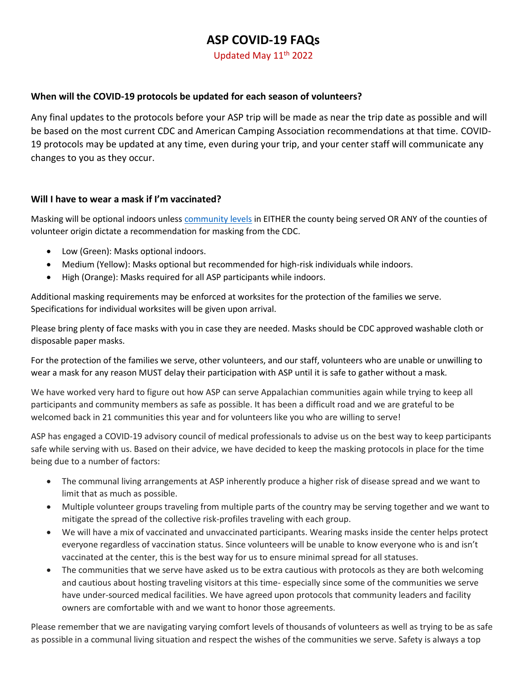# **ASP COVID-19 FAQs**

Updated May 11<sup>th</sup> 2022

#### **When will the COVID-19 protocols be updated for each season of volunteers?**

Any final updates to the protocols before your ASP trip will be made as near the trip date as possible and will be based on the most current CDC and American Camping Association recommendations at that time. COVID-19 protocols may be updated at any time, even during your trip, and your center staff will communicate any changes to you as they occur.

#### **Will I have to wear a mask if I'm vaccinated?**

Masking will be optional indoors unless [community levels](https://www.cdc.gov/coronavirus/2019-ncov/science/community-levels.html) in EITHER the county being served OR ANY of the counties of volunteer origin dictate a recommendation for masking from the CDC.

- Low (Green): Masks optional indoors.
- Medium (Yellow): Masks optional but recommended for high-risk individuals while indoors.
- High (Orange): Masks required for all ASP participants while indoors.

Additional masking requirements may be enforced at worksites for the protection of the families we serve. Specifications for individual worksites will be given upon arrival.

Please bring plenty of face masks with you in case they are needed. Masks should be CDC approved washable cloth or disposable paper masks.

For the protection of the families we serve, other volunteers, and our staff, volunteers who are unable or unwilling to wear a mask for any reason MUST delay their participation with ASP until it is safe to gather without a mask.

We have worked very hard to figure out how ASP can serve Appalachian communities again while trying to keep all participants and community members as safe as possible. It has been a difficult road and we are grateful to be welcomed back in 21 communities this year and for volunteers like you who are willing to serve!

ASP has engaged a COVID-19 advisory council of medical professionals to advise us on the best way to keep participants safe while serving with us. Based on their advice, we have decided to keep the masking protocols in place for the time being due to a number of factors:

- The communal living arrangements at ASP inherently produce a higher risk of disease spread and we want to limit that as much as possible.
- Multiple volunteer groups traveling from multiple parts of the country may be serving together and we want to mitigate the spread of the collective risk-profiles traveling with each group.
- We will have a mix of vaccinated and unvaccinated participants. Wearing masks inside the center helps protect everyone regardless of vaccination status. Since volunteers will be unable to know everyone who is and isn't vaccinated at the center, this is the best way for us to ensure minimal spread for all statuses.
- The communities that we serve have asked us to be extra cautious with protocols as they are both welcoming and cautious about hosting traveling visitors at this time- especially since some of the communities we serve have under-sourced medical facilities. We have agreed upon protocols that community leaders and facility owners are comfortable with and we want to honor those agreements.

Please remember that we are navigating varying comfort levels of thousands of volunteers as well as trying to be as safe as possible in a communal living situation and respect the wishes of the communities we serve. Safety is always a top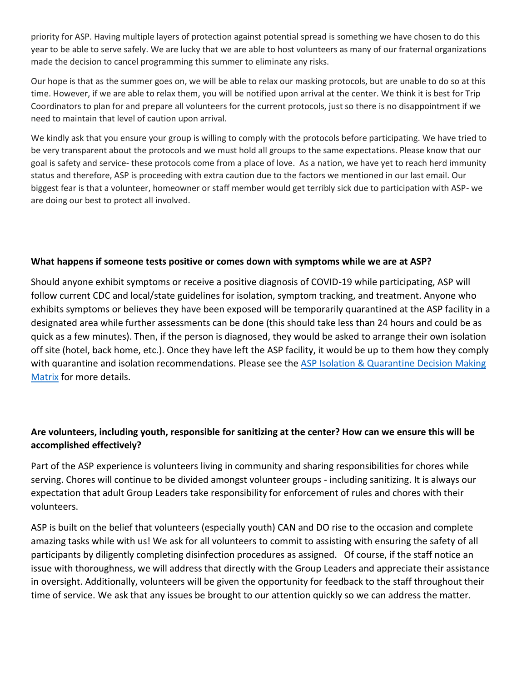priority for ASP. Having multiple layers of protection against potential spread is something we have chosen to do this year to be able to serve safely. We are lucky that we are able to host volunteers as many of our fraternal organizations made the decision to cancel programming this summer to eliminate any risks.

Our hope is that as the summer goes on, we will be able to relax our masking protocols, but are unable to do so at this time. However, if we are able to relax them, you will be notified upon arrival at the center. We think it is best for Trip Coordinators to plan for and prepare all volunteers for the current protocols, just so there is no disappointment if we need to maintain that level of caution upon arrival.

We kindly ask that you ensure your group is willing to comply with the protocols before participating. We have tried to be very transparent about the protocols and we must hold all groups to the same expectations. Please know that our goal is safety and service- these protocols come from a place of love. As a nation, we have yet to reach herd immunity status and therefore, ASP is proceeding with extra caution due to the factors we mentioned in our last email. Our biggest fear is that a volunteer, homeowner or staff member would get terribly sick due to participation with ASP- we are doing our best to protect all involved.

#### **What happens if someone tests positive or comes down with symptoms while we are at ASP?**

Should anyone exhibit symptoms or receive a positive diagnosis of COVID-19 while participating, ASP will follow current CDC and local/state guidelines for isolation, symptom tracking, and treatment. Anyone who exhibits symptoms or believes they have been exposed will be temporarily quarantined at the ASP facility in a designated area while further assessments can be done (this should take less than 24 hours and could be as quick as a few minutes). Then, if the person is diagnosed, they would be asked to arrange their own isolation off site (hotel, back home, etc.). Once they have left the ASP facility, it would be up to them how they comply with quarantine and isolation recommendations. Please see the ASP Isolation & Quarantine Decision Making [Matrix](https://appalachiaserviceproject.sharepoint.com/:b:/g/Volunteers/ERh3XzjN1QRDpbAYEl4ZejAB30754_NKTamtKVuy6dj74w) for more details.

# **Are volunteers, including youth, responsible for sanitizing at the center? How can we ensure this will be accomplished effectively?**

Part of the ASP experience is volunteers living in community and sharing responsibilities for chores while serving. Chores will continue to be divided amongst volunteer groups - including sanitizing. It is always our expectation that adult Group Leaders take responsibility for enforcement of rules and chores with their volunteers.

ASP is built on the belief that volunteers (especially youth) CAN and DO rise to the occasion and complete amazing tasks while with us! We ask for all volunteers to commit to assisting with ensuring the safety of all participants by diligently completing disinfection procedures as assigned. Of course, if the staff notice an issue with thoroughness, we will address that directly with the Group Leaders and appreciate their assistance in oversight. Additionally, volunteers will be given the opportunity for feedback to the staff throughout their time of service. We ask that any issues be brought to our attention quickly so we can address the matter.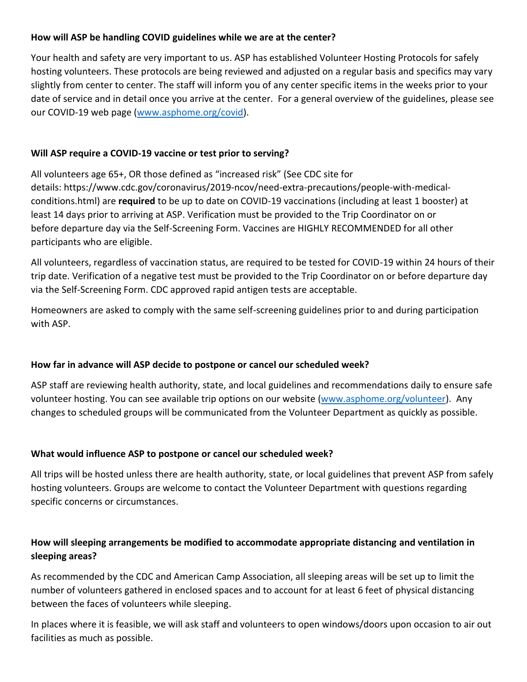# **How will ASP be handling COVID guidelines while we are at the center?**

Your health and safety are very important to us. ASP has established Volunteer Hosting Protocols for safely hosting volunteers. These protocols are being reviewed and adjusted on a regular basis and specifics may vary slightly from center to center. The staff will inform you of any center specific items in the weeks prior to your date of service and in detail once you arrive at the center. For a general overview of the guidelines, please see our COVID-19 web page [\(www.asphome.org/covid\)](http://www.asphome.org/covid).

# **Will ASP require a COVID-19 vaccine or test prior to serving?**

All volunteers age 65+, OR those defined as "increased risk" (See CDC site for details: https://www.cdc.gov/coronavirus/2019-ncov/need-extra-precautions/people-with-medicalconditions.html) are **required** to be up to date on COVID-19 vaccinations (including at least 1 booster) at least 14 days prior to arriving at ASP. Verification must be provided to the Trip Coordinator on or before departure day via the Self-Screening Form. Vaccines are HIGHLY RECOMMENDED for all other participants who are eligible.

All volunteers, regardless of vaccination status, are required to be tested for COVID-19 within 24 hours of their trip date. Verification of a negative test must be provided to the Trip Coordinator on or before departure day via the Self-Screening Form. CDC approved rapid antigen tests are acceptable.

Homeowners are asked to comply with the same self-screening guidelines prior to and during participation with ASP.

# **How far in advance will ASP decide to postpone or cancel our scheduled week?**

ASP staff are reviewing health authority, state, and local guidelines and recommendations daily to ensure safe volunteer hosting. You can see available trip options on our website [\(www.asphome.org/volunteer\)](http://www.asphome.org/volunteer). Any changes to scheduled groups will be communicated from the Volunteer Department as quickly as possible.

## **What would influence ASP to postpone or cancel our scheduled week?**

All trips will be hosted unless there are health authority, state, or local guidelines that prevent ASP from safely hosting volunteers. Groups are welcome to contact the Volunteer Department with questions regarding specific concerns or circumstances.

# **How will sleeping arrangements be modified to accommodate appropriate distancing and ventilation in sleeping areas?**

As recommended by the CDC and American Camp Association, all sleeping areas will be set up to limit the number of volunteers gathered in enclosed spaces and to account for at least 6 feet of physical distancing between the faces of volunteers while sleeping.

In places where it is feasible, we will ask staff and volunteers to open windows/doors upon occasion to air out facilities as much as possible.